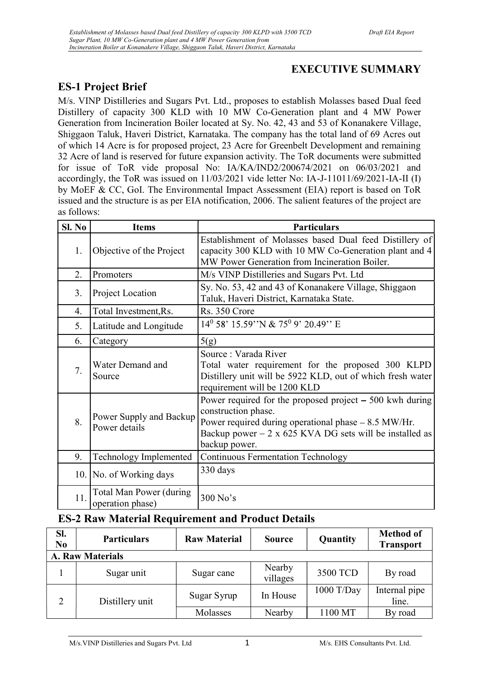# EXECUTIVE SUMMARY

# ES-1 Project Brief

M/s. VINP Distilleries and Sugars Pvt. Ltd., proposes to establish Molasses based Dual feed Distillery of capacity 300 KLD with 10 MW Co-Generation plant and 4 MW Power Generation from Incineration Boiler located at Sy. No. 42, 43 and 53 of Konanakere Village, Shiggaon Taluk, Haveri District, Karnataka. The company has the total land of 69 Acres out of which 14 Acre is for proposed project, 23 Acre for Greenbelt Development and remaining 32 Acre of land is reserved for future expansion activity. The ToR documents were submitted for issue of ToR vide proposal No: IA/KA/IND2/200674/2021 on 06/03/2021 and accordingly, the ToR was issued on 11/03/2021 vide letter No: IA-J-11011/69/2021-IA-II (I) by MoEF & CC, GoI. The Environmental Impact Assessment (EIA) report is based on ToR issued and the structure is as per EIA notification, 2006. The salient features of the project are as follows:

| SI. No | <b>Items</b>                                                                                                                                                                                                                                                           | <b>Particulars</b>                                                                                                                                                      |  |
|--------|------------------------------------------------------------------------------------------------------------------------------------------------------------------------------------------------------------------------------------------------------------------------|-------------------------------------------------------------------------------------------------------------------------------------------------------------------------|--|
| 1.     | Objective of the Project                                                                                                                                                                                                                                               | Establishment of Molasses based Dual feed Distillery of<br>capacity 300 KLD with 10 MW Co-Generation plant and 4<br>MW Power Generation from Incineration Boiler.       |  |
| 2.     | Promoters                                                                                                                                                                                                                                                              | M/s VINP Distilleries and Sugars Pvt. Ltd                                                                                                                               |  |
| 3.     | Project Location                                                                                                                                                                                                                                                       | Sy. No. 53, 42 and 43 of Konanakere Village, Shiggaon<br>Taluk, Haveri District, Karnataka State.                                                                       |  |
| 4.     | Total Investment, Rs.                                                                                                                                                                                                                                                  | Rs. 350 Crore                                                                                                                                                           |  |
| 5.     | Latitude and Longitude                                                                                                                                                                                                                                                 | 14 <sup>0</sup> 58' 15.59"N & 75 <sup>0</sup> 9' 20.49" E                                                                                                               |  |
| 6.     | Category                                                                                                                                                                                                                                                               | 5(g)                                                                                                                                                                    |  |
| 7.     | Water Demand and<br>Source                                                                                                                                                                                                                                             | Source: Varada River<br>Total water requirement for the proposed 300 KLPD<br>Distillery unit will be 5922 KLD, out of which fresh water<br>requirement will be 1200 KLD |  |
| 8.     | Power required for the proposed project $-500$ kwh during<br>construction phase.<br>Power Supply and Backup<br>Power required during operational phase - 8.5 MW/Hr.<br>Power details<br>Backup power $-2 \times 625$ KVA DG sets will be installed as<br>backup power. |                                                                                                                                                                         |  |
| 9.     | Technology Implemented                                                                                                                                                                                                                                                 | <b>Continuous Fermentation Technology</b>                                                                                                                               |  |
|        | 330 days<br>10. No. of Working days                                                                                                                                                                                                                                    |                                                                                                                                                                         |  |
| 11.    | Total Man Power (during<br>operation phase)                                                                                                                                                                                                                            | 300 No's                                                                                                                                                                |  |

# ES-2 Raw Material Requirement and Product Details

| Sl.<br>N <sub>0</sub>   | <b>Particulars</b> | <b>Raw Material</b> | <b>Source</b>      | Quantity     | <b>Method of</b><br><b>Transport</b> |  |
|-------------------------|--------------------|---------------------|--------------------|--------------|--------------------------------------|--|
| <b>A. Raw Materials</b> |                    |                     |                    |              |                                      |  |
|                         | Sugar unit         | Sugar cane          | Nearby<br>villages | 3500 TCD     | By road                              |  |
|                         | Distillery unit    | Sugar Syrup         | In House           | $1000$ T/Day | Internal pipe<br>line.               |  |
|                         |                    | Molasses            | Nearby             | 1100 MT      | By road                              |  |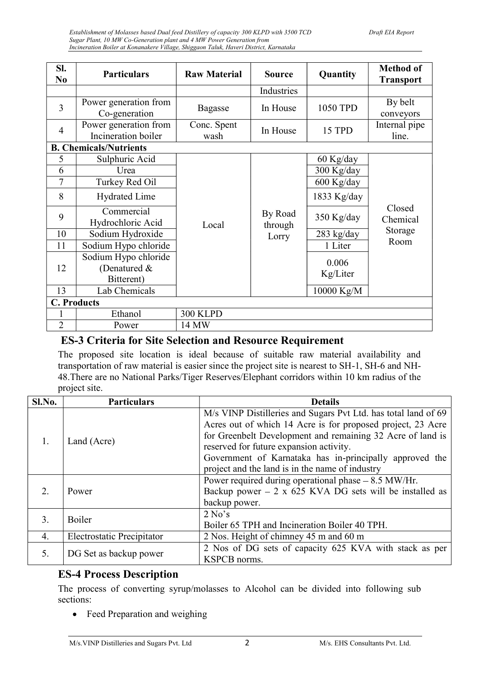| SI.<br>N <sub>0</sub> | <b>Particulars</b>                                 | <b>Raw Material</b> | <b>Source</b>      | Quantity          | <b>Method of</b><br><b>Transport</b> |
|-----------------------|----------------------------------------------------|---------------------|--------------------|-------------------|--------------------------------------|
|                       |                                                    |                     | Industries         |                   |                                      |
| $\overline{3}$        | Power generation from<br>Co-generation             | <b>Bagasse</b>      | In House           | 1050 TPD          | By belt<br>conveyors                 |
| $\overline{4}$        | Power generation from<br>Incineration boiler       | Conc. Spent<br>wash | In House           | 15 TPD            | Internal pipe<br>line.               |
|                       | <b>B. Chemicals/Nutrients</b>                      |                     |                    |                   |                                      |
| 5                     | Sulphuric Acid                                     |                     |                    | 60 Kg/day         |                                      |
| 6                     | Urea                                               |                     |                    | 300 Kg/day        |                                      |
| 7                     | Turkey Red Oil                                     |                     |                    | 600 Kg/day        |                                      |
| 8                     | <b>Hydrated Lime</b>                               |                     |                    | 1833 Kg/day       |                                      |
| 9                     | Commercial<br>Hydrochloric Acid                    | Local               | By Road<br>through | 350 Kg/day        | Closed<br>Chemical                   |
| 10                    | Sodium Hydroxide                                   |                     | Lorry              | 283 kg/day        | Storage                              |
| 11                    | Sodium Hypo chloride                               |                     |                    | 1 Liter           | Room                                 |
| 12                    | Sodium Hypo chloride<br>(Denatured &<br>Bitterent) |                     |                    | 0.006<br>Kg/Liter |                                      |
| 13                    | Lab Chemicals                                      |                     |                    | 10000 Kg/M        |                                      |
| <b>C. Products</b>    |                                                    |                     |                    |                   |                                      |
|                       | Ethanol                                            | <b>300 KLPD</b>     |                    |                   |                                      |
| $\overline{2}$        | Power                                              | 14 MW               |                    |                   |                                      |

### ES-3 Criteria for Site Selection and Resource Requirement

The proposed site location is ideal because of suitable raw material availability and transportation of raw material is easier since the project site is nearest to SH-1, SH-6 and NH-48.There are no National Parks/Tiger Reserves/Elephant corridors within 10 km radius of the project site.

| Sl.No. | <b>Particulars</b>         | <b>Details</b>                                                 |  |
|--------|----------------------------|----------------------------------------------------------------|--|
|        |                            | M/s VINP Distilleries and Sugars Pvt Ltd. has total land of 69 |  |
|        | Land (Acre)                | Acres out of which 14 Acre is for proposed project, 23 Acre    |  |
|        |                            | for Greenbelt Development and remaining 32 Acre of land is     |  |
|        |                            | reserved for future expansion activity.                        |  |
|        |                            | Government of Karnataka has in-principally approved the        |  |
|        |                            | project and the land is in the name of industry                |  |
|        |                            | Power required during operational phase - 8.5 MW/Hr.           |  |
| 2      | Power                      | Backup power $-2 \times 625$ KVA DG sets will be installed as  |  |
|        |                            | backup power.                                                  |  |
| 3.     | <b>Boiler</b>              | 2 No's                                                         |  |
|        |                            | Boiler 65 TPH and Incineration Boiler 40 TPH.                  |  |
| 4.     | Electrostatic Precipitator | 2 Nos. Height of chimney 45 m and 60 m                         |  |
|        |                            | 2 Nos of DG sets of capacity 625 KVA with stack as per         |  |
| 5.     | DG Set as backup power     | KSPCB norms.                                                   |  |

### ES-4 Process Description

The process of converting syrup/molasses to Alcohol can be divided into following sub sections:

Feed Preparation and weighing  $\bullet$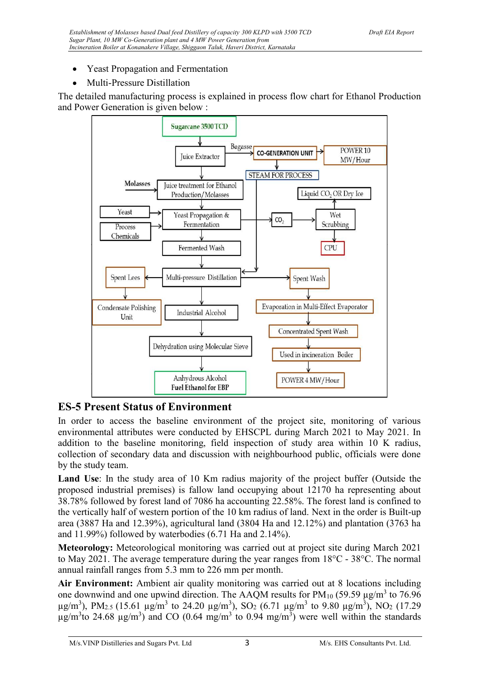- Yeast Propagation and Fermentation
- Multi-Pressure Distillation

The detailed manufacturing process is explained in process flow chart for Ethanol Production and Power Generation is given below :



# ES-5 Present Status of Environment

In order to access the baseline environment of the project site, monitoring of various environmental attributes were conducted by EHSCPL during March 2021 to May 2021. In addition to the baseline monitoring, field inspection of study area within 10 K radius, collection of secondary data and discussion with neighbourhood public, officials were done by the study team.

Land Use: In the study area of 10 Km radius majority of the project buffer (Outside the proposed industrial premises) is fallow land occupying about 12170 ha representing about 38.78% followed by forest land of 7086 ha accounting 22.58%. The forest land is confined to the vertically half of western portion of the 10 km radius of land. Next in the order is Built-up area (3887 Ha and 12.39%), agricultural land (3804 Ha and 12.12%) and plantation (3763 ha and 11.99%) followed by waterbodies (6.71 Ha and 2.14%).

Meteorology: Meteorological monitoring was carried out at project site during March 2021 to May 2021. The average temperature during the year ranges from  $18^{\circ}$ C -  $38^{\circ}$ C. The normal annual rainfall ranges from 5.3 mm to 226 mm per month.

Air Environment: Ambient air quality monitoring was carried out at 8 locations including one downwind and one upwind direction. The AAQM results for  $PM_{10}$  (59.59  $\mu$ g/m<sup>3</sup> to 76.96  $\mu$ g/m<sup>3</sup>), PM<sub>2.5</sub> (15.61  $\mu$ g/m<sup>3</sup> to 24.20  $\mu$ g/m<sup>3</sup>), SO<sub>2</sub> (6.71  $\mu$ g/m<sup>3</sup> to 9.80  $\mu$ g/m<sup>3</sup>), NO<sub>2</sub> (17.29  $\mu$ g/m<sup>3</sup>to 24.68  $\mu$ g/m<sup>3</sup>) and CO (0.64 mg/m<sup>3</sup> to 0.94 mg/m<sup>3</sup>) were well within the standards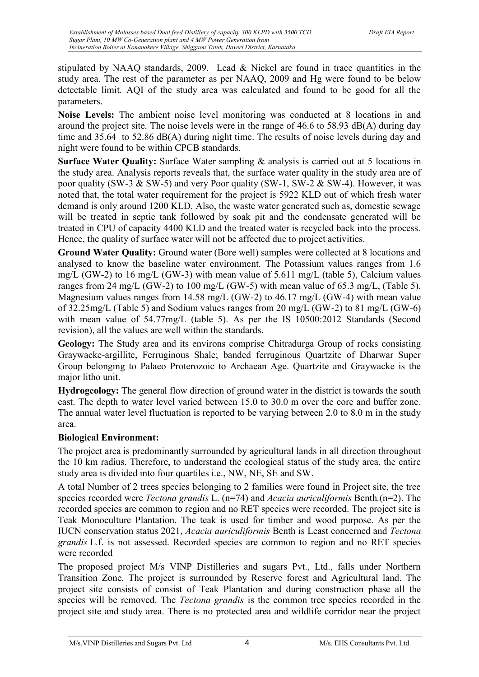stipulated by NAAQ standards, 2009. Lead & Nickel are found in trace quantities in the study area. The rest of the parameter as per NAAQ, 2009 and Hg were found to be below detectable limit. AQI of the study area was calculated and found to be good for all the parameters.

Noise Levels: The ambient noise level monitoring was conducted at 8 locations in and around the project site. The noise levels were in the range of  $46.6$  to  $58.93$  dB(A) during day time and 35.64 to 52.86 dB(A) during night time. The results of noise levels during day and night were found to be within CPCB standards.

Surface Water Quality: Surface Water sampling & analysis is carried out at 5 locations in the study area. Analysis reports reveals that, the surface water quality in the study area are of poor quality (SW-3 & SW-5) and very Poor quality (SW-1, SW-2 & SW-4). However, it was noted that, the total water requirement for the project is 5922 KLD out of which fresh water demand is only around 1200 KLD. Also, the waste water generated such as, domestic sewage will be treated in septic tank followed by soak pit and the condensate generated will be treated in CPU of capacity 4400 KLD and the treated water is recycled back into the process. Hence, the quality of surface water will not be affected due to project activities.

Ground Water Quality: Ground water (Bore well) samples were collected at 8 locations and analysed to know the baseline water environment. The Potassium values ranges from 1.6 mg/L (GW-2) to 16 mg/L (GW-3) with mean value of 5.611 mg/L (table 5), Calcium values ranges from 24 mg/L (GW-2) to 100 mg/L (GW-5) with mean value of 65.3 mg/L, (Table 5). Magnesium values ranges from 14.58 mg/L (GW-2) to 46.17 mg/L (GW-4) with mean value of 32.25mg/L (Table 5) and Sodium values ranges from 20 mg/L (GW-2) to 81 mg/L (GW-6) with mean value of 54.77mg/L (table 5). As per the IS 10500:2012 Standards (Second revision), all the values are well within the standards.

Geology: The Study area and its environs comprise Chitradurga Group of rocks consisting Graywacke-argillite, Ferruginous Shale; banded ferruginous Quartzite of Dharwar Super Group belonging to Palaeo Proterozoic to Archaean Age. Quartzite and Graywacke is the major litho unit.

Hydrogeology: The general flow direction of ground water in the district is towards the south east. The depth to water level varied between 15.0 to 30.0 m over the core and buffer zone. The annual water level fluctuation is reported to be varying between 2.0 to 8.0 m in the study area.

#### Biological Environment:

The project area is predominantly surrounded by agricultural lands in all direction throughout the 10 km radius. Therefore, to understand the ecological status of the study area, the entire study area is divided into four quartiles i.e., NW, NE, SE and SW.

A total Number of 2 trees species belonging to 2 families were found in Project site, the tree species recorded were *Tectona grandis* L.  $(n=74)$  and *Acacia auriculiformis* Benth. $(n=2)$ . The recorded species are common to region and no RET species were recorded. The project site is Teak Monoculture Plantation. The teak is used for timber and wood purpose. As per the IUCN conservation status 2021, Acacia auriculiformis Benth is Least concerned and Tectona grandis L.f. is not assessed. Recorded species are common to region and no RET species were recorded

The proposed project M/s VINP Distilleries and sugars Pvt., Ltd., falls under Northern Transition Zone. The project is surrounded by Reserve forest and Agricultural land. The project site consists of consist of Teak Plantation and during construction phase all the species will be removed. The *Tectona grandis* is the common tree species recorded in the project site and study area. There is no protected area and wildlife corridor near the project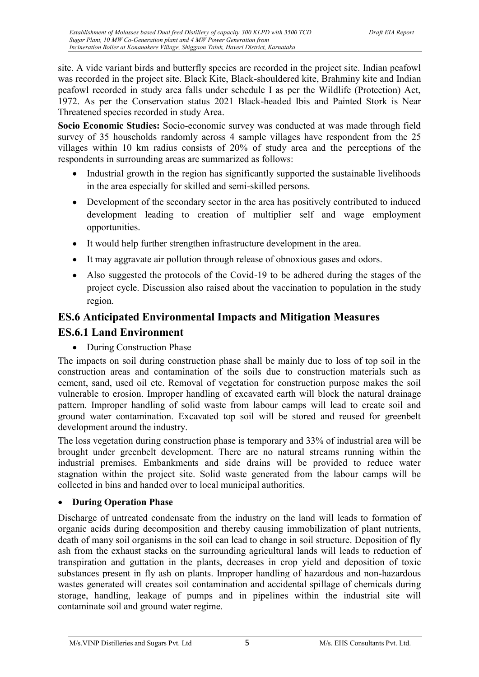site. A vide variant birds and butterfly species are recorded in the project site. Indian peafowl was recorded in the project site. Black Kite, Black-shouldered kite, Brahminy kite and Indian peafowl recorded in study area falls under schedule I as per the Wildlife (Protection) Act, 1972. As per the Conservation status 2021 Black-headed Ibis and Painted Stork is Near Threatened species recorded in study Area.

Socio Economic Studies: Socio-economic survey was conducted at was made through field survey of 35 households randomly across 4 sample villages have respondent from the 25 villages within 10 km radius consists of 20% of study area and the perceptions of the respondents in surrounding areas are summarized as follows:

- Industrial growth in the region has significantly supported the sustainable livelihoods in the area especially for skilled and semi-skilled persons.
- Development of the secondary sector in the area has positively contributed to induced development leading to creation of multiplier self and wage employment opportunities.
- It would help further strengthen infrastructure development in the area.
- It may aggravate air pollution through release of obnoxious gases and odors.
- Also suggested the protocols of the Covid-19 to be adhered during the stages of the project cycle. Discussion also raised about the vaccination to population in the study region.

# ES.6 Anticipated Environmental Impacts and Mitigation Measures ES.6.1 Land Environment

• During Construction Phase

The impacts on soil during construction phase shall be mainly due to loss of top soil in the construction areas and contamination of the soils due to construction materials such as cement, sand, used oil etc. Removal of vegetation for construction purpose makes the soil vulnerable to erosion. Improper handling of excavated earth will block the natural drainage pattern. Improper handling of solid waste from labour camps will lead to create soil and ground water contamination. Excavated top soil will be stored and reused for greenbelt development around the industry.

The loss vegetation during construction phase is temporary and 33% of industrial area will be brought under greenbelt development. There are no natural streams running within the industrial premises. Embankments and side drains will be provided to reduce water stagnation within the project site. Solid waste generated from the labour camps will be collected in bins and handed over to local municipal authorities.

#### During Operation Phase

Discharge of untreated condensate from the industry on the land will leads to formation of organic acids during decomposition and thereby causing immobilization of plant nutrients, death of many soil organisms in the soil can lead to change in soil structure. Deposition of fly ash from the exhaust stacks on the surrounding agricultural lands will leads to reduction of transpiration and guttation in the plants, decreases in crop yield and deposition of toxic substances present in fly ash on plants. Improper handling of hazardous and non-hazardous wastes generated will creates soil contamination and accidental spillage of chemicals during storage, handling, leakage of pumps and in pipelines within the industrial site will contaminate soil and ground water regime.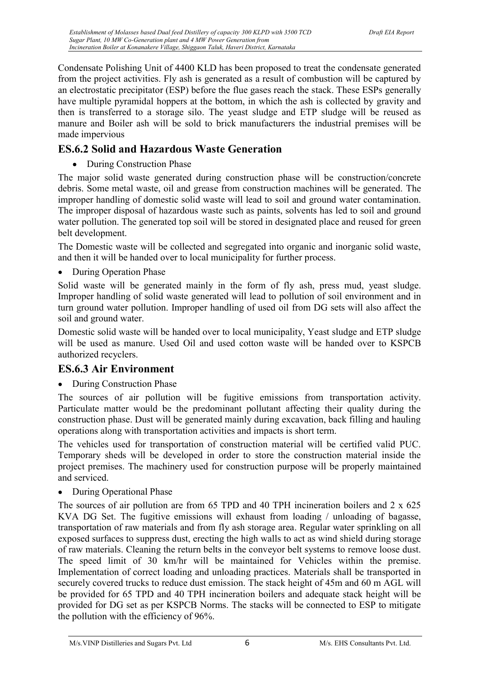Condensate Polishing Unit of 4400 KLD has been proposed to treat the condensate generated from the project activities. Fly ash is generated as a result of combustion will be captured by an electrostatic precipitator (ESP) before the flue gases reach the stack. These ESPs generally have multiple pyramidal hoppers at the bottom, in which the ash is collected by gravity and then is transferred to a storage silo. The yeast sludge and ETP sludge will be reused as manure and Boiler ash will be sold to brick manufacturers the industrial premises will be made impervious

# ES.6.2 Solid and Hazardous Waste Generation

• During Construction Phase

The major solid waste generated during construction phase will be construction/concrete debris. Some metal waste, oil and grease from construction machines will be generated. The improper handling of domestic solid waste will lead to soil and ground water contamination. The improper disposal of hazardous waste such as paints, solvents has led to soil and ground water pollution. The generated top soil will be stored in designated place and reused for green belt development.

The Domestic waste will be collected and segregated into organic and inorganic solid waste, and then it will be handed over to local municipality for further process.

• During Operation Phase

Solid waste will be generated mainly in the form of fly ash, press mud, yeast sludge. Improper handling of solid waste generated will lead to pollution of soil environment and in turn ground water pollution. Improper handling of used oil from DG sets will also affect the soil and ground water.

Domestic solid waste will be handed over to local municipality, Yeast sludge and ETP sludge will be used as manure. Used Oil and used cotton waste will be handed over to KSPCB authorized recyclers.

# ES.6.3 Air Environment

• During Construction Phase

The sources of air pollution will be fugitive emissions from transportation activity. Particulate matter would be the predominant pollutant affecting their quality during the construction phase. Dust will be generated mainly during excavation, back filling and hauling operations along with transportation activities and impacts is short term.

The vehicles used for transportation of construction material will be certified valid PUC. Temporary sheds will be developed in order to store the construction material inside the project premises. The machinery used for construction purpose will be properly maintained and serviced.

• During Operational Phase

The sources of air pollution are from 65 TPD and 40 TPH incineration boilers and 2 x 625 KVA DG Set. The fugitive emissions will exhaust from loading / unloading of bagasse, transportation of raw materials and from fly ash storage area. Regular water sprinkling on all exposed surfaces to suppress dust, erecting the high walls to act as wind shield during storage of raw materials. Cleaning the return belts in the conveyor belt systems to remove loose dust. The speed limit of 30 km/hr will be maintained for Vehicles within the premise. Implementation of correct loading and unloading practices. Materials shall be transported in securely covered trucks to reduce dust emission. The stack height of 45m and 60 m AGL will be provided for 65 TPD and 40 TPH incineration boilers and adequate stack height will be provided for DG set as per KSPCB Norms. The stacks will be connected to ESP to mitigate the pollution with the efficiency of 96%.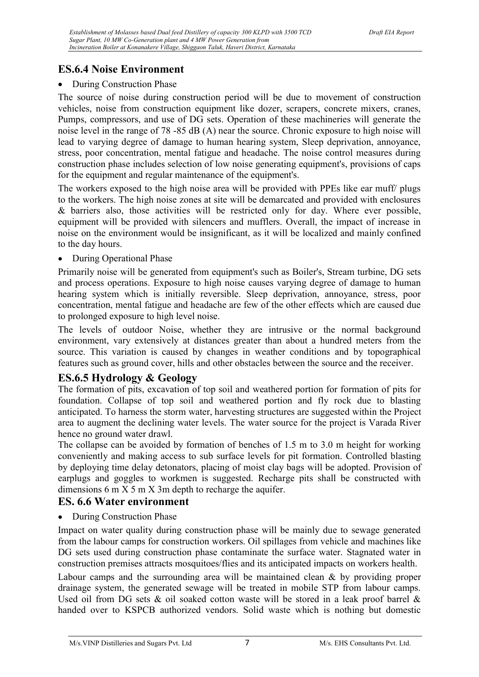# ES.6.4 Noise Environment

#### • During Construction Phase

The source of noise during construction period will be due to movement of construction vehicles, noise from construction equipment like dozer, scrapers, concrete mixers, cranes, Pumps, compressors, and use of DG sets. Operation of these machineries will generate the noise level in the range of 78 -85 dB (A) near the source. Chronic exposure to high noise will lead to varying degree of damage to human hearing system, Sleep deprivation, annoyance, stress, poor concentration, mental fatigue and headache. The noise control measures during construction phase includes selection of low noise generating equipment's, provisions of caps for the equipment and regular maintenance of the equipment's.

The workers exposed to the high noise area will be provided with PPEs like ear muff/ plugs to the workers. The high noise zones at site will be demarcated and provided with enclosures & barriers also, those activities will be restricted only for day. Where ever possible, equipment will be provided with silencers and mufflers. Overall, the impact of increase in noise on the environment would be insignificant, as it will be localized and mainly confined to the day hours.

#### • During Operational Phase

Primarily noise will be generated from equipment's such as Boiler's, Stream turbine, DG sets and process operations. Exposure to high noise causes varying degree of damage to human hearing system which is initially reversible. Sleep deprivation, annoyance, stress, poor concentration, mental fatigue and headache are few of the other effects which are caused due to prolonged exposure to high level noise.

The levels of outdoor Noise, whether they are intrusive or the normal background environment, vary extensively at distances greater than about a hundred meters from the source. This variation is caused by changes in weather conditions and by topographical features such as ground cover, hills and other obstacles between the source and the receiver.

### ES.6.5 Hydrology & Geology

The formation of pits, excavation of top soil and weathered portion for formation of pits for foundation. Collapse of top soil and weathered portion and fly rock due to blasting anticipated. To harness the storm water, harvesting structures are suggested within the Project area to augment the declining water levels. The water source for the project is Varada River hence no ground water drawl.

The collapse can be avoided by formation of benches of 1.5 m to 3.0 m height for working conveniently and making access to sub surface levels for pit formation. Controlled blasting by deploying time delay detonators, placing of moist clay bags will be adopted. Provision of earplugs and goggles to workmen is suggested. Recharge pits shall be constructed with dimensions 6 m X 5 m X 3m depth to recharge the aquifer.

### ES. 6.6 Water environment

• During Construction Phase

Impact on water quality during construction phase will be mainly due to sewage generated from the labour camps for construction workers. Oil spillages from vehicle and machines like DG sets used during construction phase contaminate the surface water. Stagnated water in construction premises attracts mosquitoes/flies and its anticipated impacts on workers health.

Labour camps and the surrounding area will be maintained clean & by providing proper drainage system, the generated sewage will be treated in mobile STP from labour camps. Used oil from DG sets & oil soaked cotton waste will be stored in a leak proof barrel & handed over to KSPCB authorized vendors. Solid waste which is nothing but domestic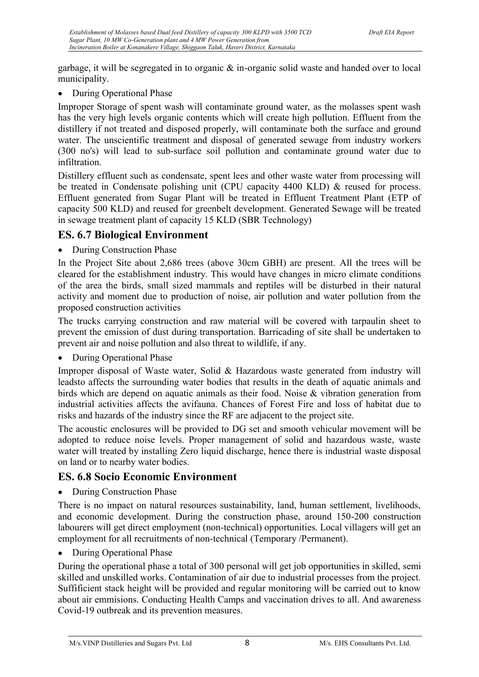garbage, it will be segregated in to organic  $\&$  in-organic solid waste and handed over to local municipality.

• During Operational Phase

Improper Storage of spent wash will contaminate ground water, as the molasses spent wash has the very high levels organic contents which will create high pollution. Effluent from the distillery if not treated and disposed properly, will contaminate both the surface and ground water. The unscientific treatment and disposal of generated sewage from industry workers (300 no's) will lead to sub-surface soil pollution and contaminate ground water due to infiltration.

Distillery effluent such as condensate, spent lees and other waste water from processing will be treated in Condensate polishing unit (CPU capacity 4400 KLD) & reused for process. Effluent generated from Sugar Plant will be treated in Effluent Treatment Plant (ETP of capacity 500 KLD) and reused for greenbelt development. Generated Sewage will be treated in sewage treatment plant of capacity 15 KLD (SBR Technology)

#### ES. 6.7 Biological Environment

• During Construction Phase

In the Project Site about 2,686 trees (above 30cm GBH) are present. All the trees will be cleared for the establishment industry. This would have changes in micro climate conditions of the area the birds, small sized mammals and reptiles will be disturbed in their natural activity and moment due to production of noise, air pollution and water pollution from the proposed construction activities

The trucks carrying construction and raw material will be covered with tarpaulin sheet to prevent the emission of dust during transportation. Barricading of site shall be undertaken to prevent air and noise pollution and also threat to wildlife, if any.

• During Operational Phase

Improper disposal of Waste water, Solid & Hazardous waste generated from industry will leadsto affects the surrounding water bodies that results in the death of aquatic animals and birds which are depend on aquatic animals as their food. Noise & vibration generation from industrial activities affects the avifauna. Chances of Forest Fire and loss of habitat due to risks and hazards of the industry since the RF are adjacent to the project site.

The acoustic enclosures will be provided to DG set and smooth vehicular movement will be adopted to reduce noise levels. Proper management of solid and hazardous waste, waste water will treated by installing Zero liquid discharge, hence there is industrial waste disposal on land or to nearby water bodies.

### ES. 6.8 Socio Economic Environment

• During Construction Phase

There is no impact on natural resources sustainability, land, human settlement, livelihoods, and economic development. During the construction phase, around 150-200 construction labourers will get direct employment (non-technical) opportunities. Local villagers will get an employment for all recruitments of non-technical (Temporary /Permanent).

• During Operational Phase

During the operational phase a total of 300 personal will get job opportunities in skilled, semi skilled and unskilled works. Contamination of air due to industrial processes from the project. Suffificient stack height will be provided and regular monitoring will be carried out to know about air emmisions. Conducting Health Camps and vaccination drives to all. And awareness Covid-19 outbreak and its prevention measures.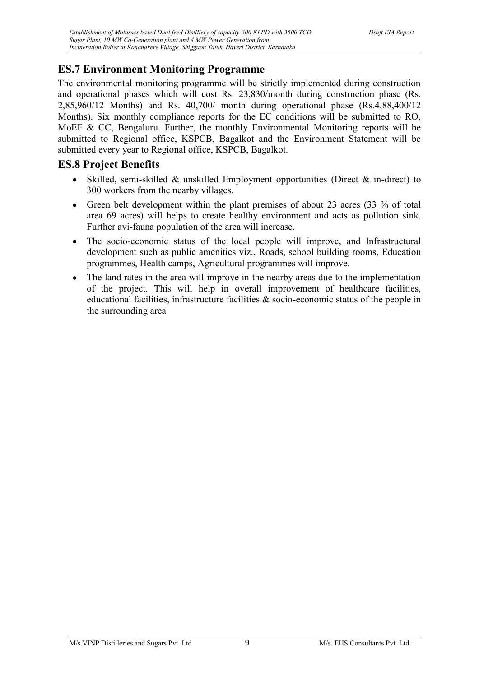# ES.7 Environment Monitoring Programme

The environmental monitoring programme will be strictly implemented during construction and operational phases which will cost Rs. 23,830/month during construction phase (Rs. 2,85,960/12 Months) and Rs. 40,700/ month during operational phase (Rs.4,88,400/12 Months). Six monthly compliance reports for the EC conditions will be submitted to RO, MoEF & CC, Bengaluru. Further, the monthly Environmental Monitoring reports will be submitted to Regional office, KSPCB, Bagalkot and the Environment Statement will be submitted every year to Regional office, KSPCB, Bagalkot.

### ES.8 Project Benefits

- $\bullet$ Skilled, semi-skilled & unskilled Employment opportunities (Direct & in-direct) to 300 workers from the nearby villages.
- Green belt development within the plant premises of about 23 acres (33 % of total  $\bullet$ area 69 acres) will helps to create healthy environment and acts as pollution sink. Further avi-fauna population of the area will increase.
- The socio-economic status of the local people will improve, and Infrastructural  $\bullet$ development such as public amenities viz., Roads, school building rooms, Education programmes, Health camps, Agricultural programmes will improve.
- The land rates in the area will improve in the nearby areas due to the implementation  $\bullet$ of the project. This will help in overall improvement of healthcare facilities, educational facilities, infrastructure facilities & socio-economic status of the people in the surrounding area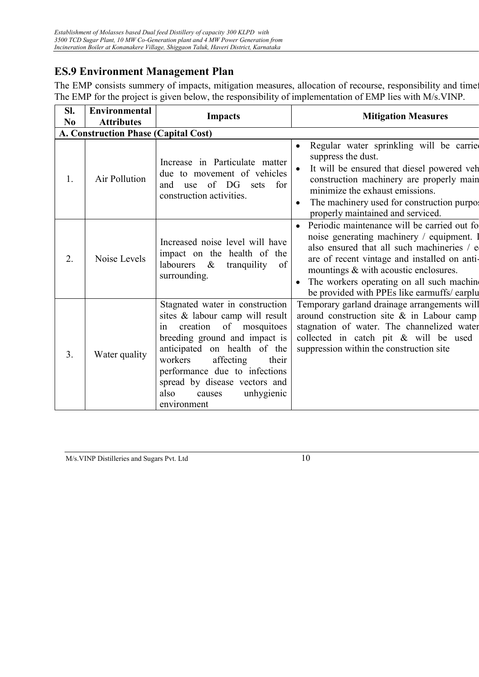# ES.9 Environment Management Plan

The EMP consists summery of impacts, mitigation measures, allocation of recourse, responsibility and time The EMP for the project is given below, the responsibility of implementation of EMP lies with M/s.VINP.

| SI.            | <b>Environmental</b>                        | <b>Impacts</b>                                                                                                                                                                                                                                                                                                        | <b>Mitigation Measures</b>                                                                                                                                                                                                                                                                                                             |  |  |
|----------------|---------------------------------------------|-----------------------------------------------------------------------------------------------------------------------------------------------------------------------------------------------------------------------------------------------------------------------------------------------------------------------|----------------------------------------------------------------------------------------------------------------------------------------------------------------------------------------------------------------------------------------------------------------------------------------------------------------------------------------|--|--|
| N <sub>0</sub> | <b>Attributes</b>                           |                                                                                                                                                                                                                                                                                                                       |                                                                                                                                                                                                                                                                                                                                        |  |  |
|                | <b>A. Construction Phase (Capital Cost)</b> |                                                                                                                                                                                                                                                                                                                       |                                                                                                                                                                                                                                                                                                                                        |  |  |
| 1.             | Air Pollution                               | Increase in Particulate matter<br>due to movement of vehicles<br>of DG sets<br>for<br>and<br>use<br>construction activities.                                                                                                                                                                                          | Regular water sprinkling will be carried<br>suppress the dust.<br>It will be ensured that diesel powered veh<br>construction machinery are properly main<br>minimize the exhaust emissions.<br>The machinery used for construction purpo:<br>٠<br>properly maintained and serviced.                                                    |  |  |
| 2.             | Noise Levels                                | Increased noise level will have<br>impact on the health of the<br>labourers &<br>tranquility<br>of<br>surrounding.                                                                                                                                                                                                    | Periodic maintenance will be carried out for<br>$\bullet$<br>noise generating machinery / equipment.<br>also ensured that all such machineries / e<br>are of recent vintage and installed on anti-<br>mountings & with acoustic enclosures.<br>The workers operating on all such machine<br>be provided with PPEs like earmuffs/earplu |  |  |
| 3.             | Water quality                               | Stagnated water in construction<br>sites & labour camp will result<br>creation of mosquitoes<br>1n<br>breeding ground and impact is<br>anticipated on health of the<br>affecting<br>workers<br>their<br>performance due to infections<br>spread by disease vectors and<br>also<br>unhygienic<br>causes<br>environment | Temporary garland drainage arrangements will<br>around construction site $\&$ in Labour camp<br>stagnation of water. The channelized water<br>collected in catch pit & will be used<br>suppression within the construction site                                                                                                        |  |  |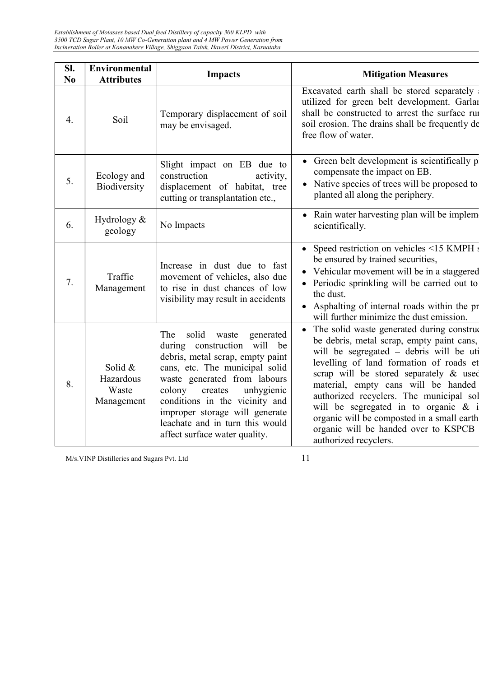| Sl.<br>N <sub>0</sub> | <b>Environmental</b><br><b>Attributes</b>     | <b>Impacts</b>                                                                                                                                                                                                                                                                                                                                     | <b>Mitigation Measures</b>                                                                                                                                                                                                                                                                                                                                                                                                                                          |
|-----------------------|-----------------------------------------------|----------------------------------------------------------------------------------------------------------------------------------------------------------------------------------------------------------------------------------------------------------------------------------------------------------------------------------------------------|---------------------------------------------------------------------------------------------------------------------------------------------------------------------------------------------------------------------------------------------------------------------------------------------------------------------------------------------------------------------------------------------------------------------------------------------------------------------|
| 4.                    | Soil                                          | Temporary displacement of soil<br>may be envisaged.                                                                                                                                                                                                                                                                                                | Excavated earth shall be stored separately<br>utilized for green belt development. Garlar<br>shall be constructed to arrest the surface run<br>soil erosion. The drains shall be frequently de<br>free flow of water.                                                                                                                                                                                                                                               |
| 5.                    | Ecology and<br>Biodiversity                   | Slight impact on EB due to<br>construction<br>activity,<br>displacement of habitat, tree<br>cutting or transplantation etc.,                                                                                                                                                                                                                       | • Green belt development is scientifically p<br>compensate the impact on EB.<br>Native species of trees will be proposed to<br>$\bullet$<br>planted all along the periphery.                                                                                                                                                                                                                                                                                        |
| 6.                    | Hydrology &<br>geology                        | No Impacts                                                                                                                                                                                                                                                                                                                                         | • Rain water harvesting plan will be implem<br>scientifically.                                                                                                                                                                                                                                                                                                                                                                                                      |
| 7.                    | Traffic<br>Management                         | Increase in dust due to fast<br>movement of vehicles, also due<br>to rise in dust chances of low<br>visibility may result in accidents                                                                                                                                                                                                             | • Speed restriction on vehicles <15 KMPH s<br>be ensured by trained securities,<br>• Vehicular movement will be in a staggered<br>Periodic sprinkling will be carried out to<br>the dust.<br>Asphalting of internal roads within the pr<br>will further minimize the dust emission.                                                                                                                                                                                 |
| 8.                    | Solid $&$<br>Hazardous<br>Waste<br>Management | solid waste<br>The<br>generated<br>construction will be<br>during<br>debris, metal scrap, empty paint<br>cans, etc. The municipal solid<br>waste generated from labours<br>colony<br>unhygienic<br>creates<br>conditions in the vicinity and<br>improper storage will generate<br>leachate and in turn this would<br>affect surface water quality. | The solid waste generated during construct<br>be debris, metal scrap, empty paint cans,<br>will be segregated - debris will be uti<br>levelling of land formation of roads et<br>scrap will be stored separately & used<br>material, empty cans will be handed<br>authorized recyclers. The municipal sol<br>will be segregated in to organic $\&$ i<br>organic will be composted in a small earth<br>organic will be handed over to KSPCB<br>authorized recyclers. |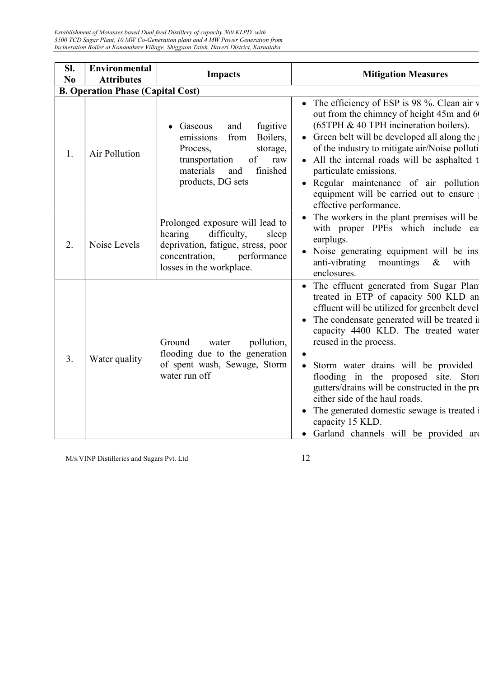Establishment of Molasses based Dual feed Distillery of capacity 300 KLPD with 3500 TCD Sugar Plant, 10 MW Co-Generation plant and 4 MW Power Generation from Incineration Boiler at Konanakere Village, Shiggaon Taluk, Haveri District, Karnataka

| SI.<br>N <sub>0</sub> | <b>Environmental</b><br><b>Attributes</b> | <b>Impacts</b>                                                                                                                                                          | <b>Mitigation Measures</b>                                                                                                                                                                                                                                                                                                                                                                                                                                                                                                          |
|-----------------------|-------------------------------------------|-------------------------------------------------------------------------------------------------------------------------------------------------------------------------|-------------------------------------------------------------------------------------------------------------------------------------------------------------------------------------------------------------------------------------------------------------------------------------------------------------------------------------------------------------------------------------------------------------------------------------------------------------------------------------------------------------------------------------|
|                       | <b>B. Operation Phase (Capital Cost)</b>  |                                                                                                                                                                         |                                                                                                                                                                                                                                                                                                                                                                                                                                                                                                                                     |
| 1.                    | Air Pollution                             | fugitive<br>and<br>Gaseous<br>Boilers,<br>from<br>emissions<br>Process,<br>storage,<br>transportation<br>of<br>raw<br>finished<br>materials<br>and<br>products, DG sets | • The efficiency of ESP is 98 %. Clean air $\nu$<br>out from the chimney of height 45m and 6<br>(65TPH & 40 TPH incineration boilers).<br>• Green belt will be developed all along the<br>of the industry to mitigate air/Noise polluti<br>• All the internal roads will be asphalted t<br>particulate emissions.<br>· Regular maintenance of air pollution<br>equipment will be carried out to ensure<br>effective performance.                                                                                                    |
| 2.                    | Noise Levels                              | Prolonged exposure will lead to<br>hearing<br>difficulty,<br>sleep<br>deprivation, fatigue, stress, poor<br>concentration,<br>performance<br>losses in the workplace.   | The workers in the plant premises will be<br>with proper PPEs which include ear<br>earplugs.<br>Noise generating equipment will be ins<br>anti-vibrating<br>mountings<br>$\&$<br>with<br>enclosures.                                                                                                                                                                                                                                                                                                                                |
| 3.                    | Water quality                             | Ground<br>pollution,<br>water<br>flooding due to the generation<br>of spent wash, Sewage, Storm<br>water run off                                                        | • The effluent generated from Sugar Plant<br>treated in ETP of capacity 500 KLD an<br>effluent will be utilized for greenbelt devel<br>• The condensate generated will be treated in<br>capacity 4400 KLD. The treated water<br>reused in the process.<br>Storm water drains will be provided<br>flooding in the proposed site. Stori<br>gutters/drains will be constructed in the pre<br>either side of the haul roads.<br>The generated domestic sewage is treated i<br>capacity 15 KLD.<br>Garland channels will be provided are |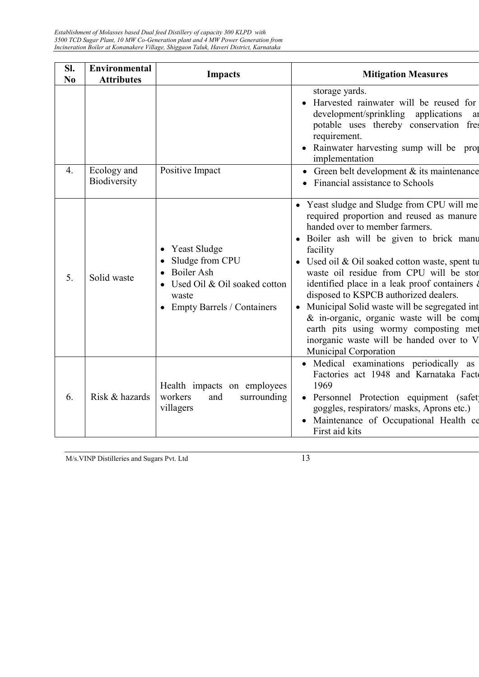| SI.<br>N <sub>0</sub> | <b>Environmental</b><br><b>Attributes</b> | <b>Impacts</b>                                                                                                                                                 | <b>Mitigation Measures</b>                                                                                                                                                                                                                                                                                                                                                                                                                                                                                                                                                        |
|-----------------------|-------------------------------------------|----------------------------------------------------------------------------------------------------------------------------------------------------------------|-----------------------------------------------------------------------------------------------------------------------------------------------------------------------------------------------------------------------------------------------------------------------------------------------------------------------------------------------------------------------------------------------------------------------------------------------------------------------------------------------------------------------------------------------------------------------------------|
|                       |                                           |                                                                                                                                                                | storage yards.<br>Harvested rainwater will be reused for<br>development/sprinkling applications<br>ai<br>potable uses thereby conservation fres<br>requirement.<br>• Rainwater harvesting sump will be prop<br>implementation                                                                                                                                                                                                                                                                                                                                                     |
| 4.                    | Ecology and<br>Biodiversity               | Positive Impact                                                                                                                                                | Green belt development & its maintenance<br>Financial assistance to Schools                                                                                                                                                                                                                                                                                                                                                                                                                                                                                                       |
| 5.                    | Solid waste                               | <b>Yeast Sludge</b><br>$\bullet$<br>Sludge from CPU<br><b>Boiler Ash</b><br>$\bullet$<br>Used Oil & Oil soaked cotton<br>waste<br>• Empty Barrels / Containers | • Yeast sludge and Sludge from CPU will me<br>required proportion and reused as manure<br>handed over to member farmers.<br>• Boiler ash will be given to brick manu<br>facility<br>• Used oil & Oil soaked cotton waste, spent tu<br>waste oil residue from CPU will be stor<br>identified place in a leak proof containers d<br>disposed to KSPCB authorized dealers.<br>Municipal Solid waste will be segregated int<br>& in-organic, organic waste will be comp<br>earth pits using wormy composting met<br>inorganic waste will be handed over to V<br>Municipal Corporation |
| 6.                    | Risk & hazards                            | Health impacts on employees<br>workers<br>and<br>surrounding<br>villagers                                                                                      | • Medical examinations periodically as<br>Factories act 1948 and Karnataka Facto<br>1969<br>· Personnel Protection equipment (safet)<br>goggles, respirators/ masks, Aprons etc.)<br>• Maintenance of Occupational Health ce<br>First aid kits                                                                                                                                                                                                                                                                                                                                    |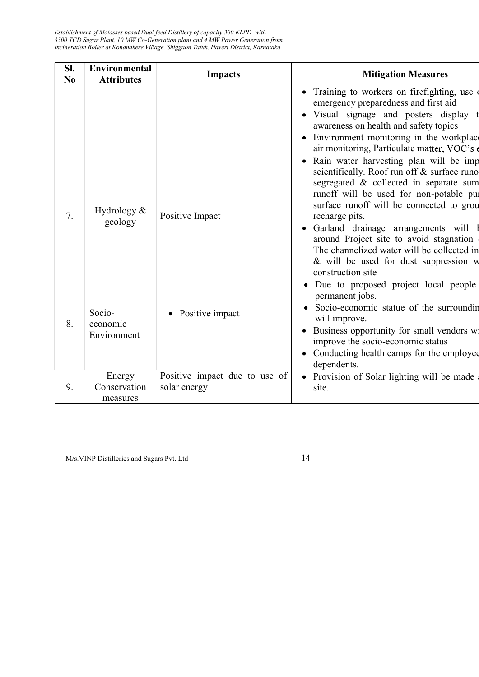| SI.<br>N <sub>0</sub> | <b>Environmental</b><br><b>Attributes</b> | <b>Impacts</b>                                | <b>Mitigation Measures</b>                                                                                                                                                                                                                                                                                                                                                                                                                             |
|-----------------------|-------------------------------------------|-----------------------------------------------|--------------------------------------------------------------------------------------------------------------------------------------------------------------------------------------------------------------------------------------------------------------------------------------------------------------------------------------------------------------------------------------------------------------------------------------------------------|
|                       |                                           |                                               | • Training to workers on firefighting, use of<br>emergency preparedness and first aid<br>· Visual signage and posters display t<br>awareness on health and safety topics<br>Environment monitoring in the workplace<br>air monitoring, Particulate matter, VOC's                                                                                                                                                                                       |
| 7.                    | Hydrology $&$<br>geology                  | Positive Impact                               | Rain water harvesting plan will be imp<br>$\bullet$<br>scientifically. Roof run off & surface runo<br>segregated & collected in separate sum<br>runoff will be used for non-potable pur<br>surface runoff will be connected to grou<br>recharge pits.<br>· Garland drainage arrangements will l<br>around Project site to avoid stagnation<br>The channelized water will be collected in<br>& will be used for dust suppression w<br>construction site |
| 8.                    | Socio-<br>economic<br>Environment         | • Positive impact                             | Due to proposed project local people<br>$\bullet$<br>permanent jobs.<br>Socio-economic statue of the surroundin<br>will improve.<br>Business opportunity for small vendors wi<br>improve the socio-economic status<br>• Conducting health camps for the employee<br>dependents.                                                                                                                                                                        |
| 9.                    | Energy<br>Conservation<br>measures        | Positive impact due to use of<br>solar energy | Provision of Solar lighting will be made<br>$\bullet$<br>site.                                                                                                                                                                                                                                                                                                                                                                                         |